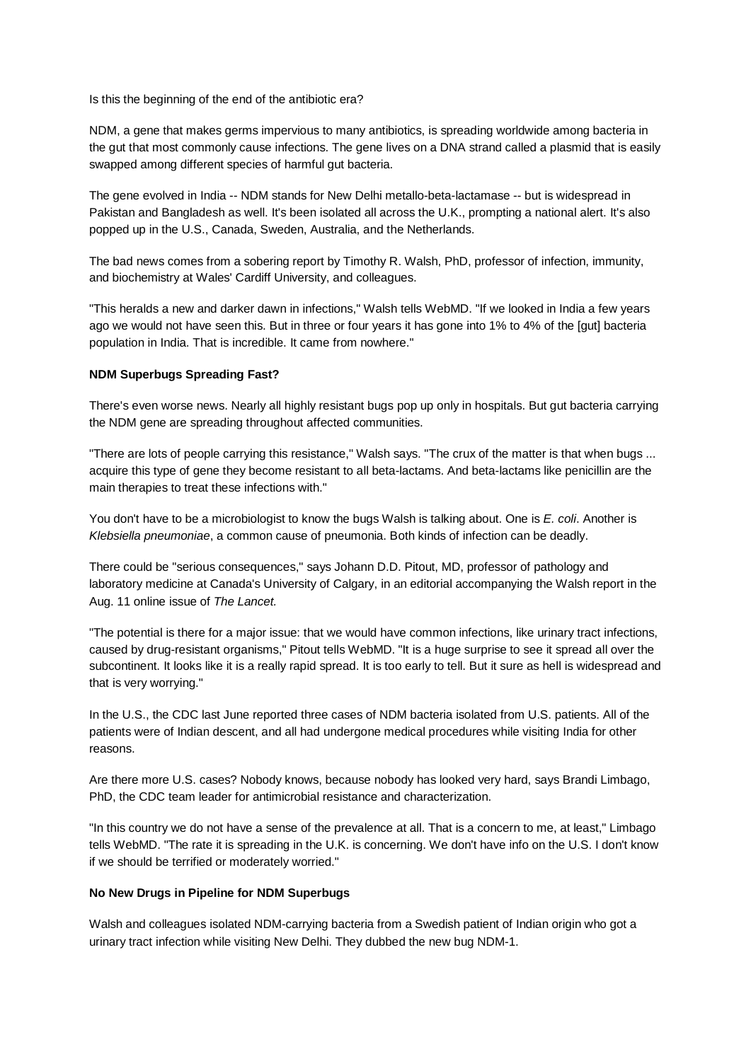Is this the beginning of the end of the antibiotic era?

NDM, a gene that makes germs impervious to many antibiotics, is spreading worldwide among bacteria in the gut that most commonly cause infections. The gene lives on a DNA strand called a plasmid that is easily swapped among different species of harmful gut bacteria.

The gene evolved in India -- NDM stands for New Delhi metallo-beta-lactamase -- but is widespread in Pakistan and Bangladesh as well. It's been isolated all across the U.K., prompting a national alert. It's also popped up in the U.S., Canada, Sweden, Australia, and the Netherlands.

The bad news comes from a sobering report by Timothy R. Walsh, PhD, professor of infection, immunity, and biochemistry at Wales' Cardiff University, and colleagues.

"This heralds a new and darker dawn in infections," Walsh tells WebMD. "If we looked in India a few years ago we would not have seen this. But in three or four years it has gone into 1% to 4% of the [gut] bacteria population in India. That is incredible. It came from nowhere."

## **NDM Superbugs Spreading Fast?**

There's even worse news. Nearly all highly resistant bugs pop up only in hospitals. But gut bacteria carrying the NDM gene are spreading throughout affected communities.

"There are lots of people carrying this resistance," Walsh says. "The crux of the matter is that when bugs ... acquire this type of gene they become resistant to all beta-lactams. And beta-lactams like penicillin are the main therapies to treat these infections with."

You don't have to be a microbiologist to know the bugs Walsh is talking about. One is *E. coli*. Another is *Klebsiella pneumoniae*, a common cause of pneumonia. Both kinds of infection can be deadly.

There could be "serious consequences," says Johann D.D. Pitout, MD, professor of pathology and laboratory medicine at Canada's University of Calgary, in an editorial accompanying the Walsh report in the Aug. 11 online issue of *The Lancet.*

"The potential is there for a major issue: that we would have common infections, like urinary tract infections, caused by drug-resistant organisms," Pitout tells WebMD. "It is a huge surprise to see it spread all over the subcontinent. It looks like it is a really rapid spread. It is too early to tell. But it sure as hell is widespread and that is very worrying."

In the U.S., the CDC last June reported three cases of NDM bacteria isolated from U.S. patients. All of the patients were of Indian descent, and all had undergone medical procedures while visiting India for other reasons.

Are there more U.S. cases? Nobody knows, because nobody has looked very hard, says Brandi Limbago, PhD, the CDC team leader for antimicrobial resistance and characterization.

"In this country we do not have a sense of the prevalence at all. That is a concern to me, at least," Limbago tells WebMD. "The rate it is spreading in the U.K. is concerning. We don't have info on the U.S. I don't know if we should be terrified or moderately worried."

## **No New Drugs in Pipeline for NDM Superbugs**

Walsh and colleagues isolated NDM-carrying bacteria from a Swedish patient of Indian origin who got a urinary tract infection while visiting New Delhi. They dubbed the new bug NDM-1.